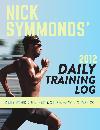# NICK SYMMONDS'

## *DAILY TRAINING LOG* 2012

DAILY WORKOUTS LEADING UP to the 2012 OLYMPICS

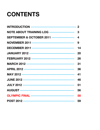## **CONTENTS**

| <b>INTRODUCTION ----------------------------------- 2</b> |                  |
|-----------------------------------------------------------|------------------|
| <b>NOTE ABOUT TRAINING LOG ---------------------</b>      | $\mathbf{3}$     |
| <b>SEPTEMBER &amp; OCTOBER 2011 -------------------</b>   | $\boldsymbol{4}$ |
|                                                           | 9                |
|                                                           | 14               |
|                                                           | 20               |
|                                                           | 26               |
|                                                           | 31               |
|                                                           | 36               |
|                                                           | 41               |
|                                                           | 46               |
|                                                           | 51               |
|                                                           | 56               |
| <b>OLYMPIC FINAL -----------------------------------</b>  | 58               |
|                                                           |                  |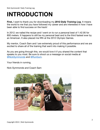## **INTRODUCTION**

**First,** I want to thank you for downloading my *2012 Daily Training Log.* It means the world to me that you have followed my career and are interested in how I have been able to find success on the track!

In 2012, we nailed the recipe and I went on to run a personal best of 1:42.95 for 800 meters. It happens to still be my personal best and is the third fastest ever by an American. It also placed me fifth at the 2012 Olympic Games.

My mentor, Coach Sam and I are extremely proud of this performance and we are excited to share all of the training that went into making it possible.

As you are going through this, we would love it if you shared the content that speaks to you most. Be sure to shoot us a message on social media at [@NickSymmonds](https://twitter.com/nicksymmonds) and [@RunGum.](https://twitter.com/rungum)

Your friends in running,

Nick Symmonds and Coach Sam

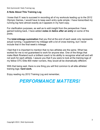### **A Note About This Training Log**

I knew that if I was to succeed in recording all of my workouts leading up to the 2012 Olympic Games, I would have to keep each entry quite simple. I have transcribed my running log here almost exactly as it appears in my hard copy.

For clarification purposes, as well as to add insight from the perspective I have gained looking back, I have added *notes in italics after an entry* on some of the posts**.**

The **total-mileage summation** that you find at the end of each week only represents actual running. I supplement my mileage with a lot of cross training, but I never include that in the final week's mileage.

I feel that it is important to mention that no two athletes are the same. What has worked for me is not guaranteed to work for anyone else. One of the things that make Mark Rowland such a brilliant coach is his ability to recognize what will and will not work for each athlete. I assure you that if you were to look at the training logs of my fellow OTC Elite 800 meter runners, they would all be dramatically different.

With that being said, there is one thing you will find common to all elite athletes' training logs: **hard work***.*

Enjoy reading my 2012 Training Log and remember,

### *PERFORMANCE MATTERS!*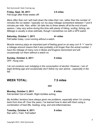Copyright 2013 | Nick Symmonds

Nick Symmonds' Daily Training Log

### **Friday, Sept. 30, 2011 3.5 miles**

Felt tough after three weeks off!

*More often than not I will mark down the miles that I ran, rather than the number of minutes the run lasted. I typically run my easy mileage somewhere between 7 and 8 minutes per mile. Also, while I do take two to three weeks off at the end of each season, I stay very active during this time with plenty of hiking, surfing, fishing, etc. Mileage is usually a close estimate, though I sometimes run with a GPS watch.*

**Saturday, October 1, 2011 4+ miles**

Felt better today. Love running without a watch*.*

*Muscle memory plays an important part of feeling good on an easy run! A "+" next to a mileage amount means that it was probably a bit longer than the actual number. I have the mileage of many runs in Boise and Eugene memorized and will occasionally run them without a watch on.*

**Sunday, October 2, 2011 0 miles** OFF. Hung over.

*I do not condone over indulging in the consumption of alcohol. However, I am of legal drinking age and occasionally don't follow my own advice…especially in the fall.*

**WEEK TOTAL: 7.5 miles**

###

**Monday, October 3, 2011 6 miles** Felt terrible! Out of breath. Right Achilles aching.

*My Achilles' tendons have always given me problems, especially when I'm coming back from time off. Over the years, I've learned how to deal with them using a combination of heel lifts, heating, icing, and antiinflammatories.*

**Tuesday, October 4, 2011 6 miles** Ran with L-Train. Felt better!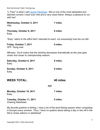*"LTrain" is what I call Lauren [Fleshman.](https://twitter.com/laurenfleshman) She is one of the most dedicated and talented runners I have ever met and a very close friend. Always a pleasure to run with her!*

| Wednesday, October 5, 2011<br>Hilly.                                                                                         | 7 miles  |
|------------------------------------------------------------------------------------------------------------------------------|----------|
| Thursday, October 6, 2011<br>Easy.                                                                                           | 6 miles  |
| "Easy" refers to the effort that I intended to exert, not necessarily how the run felt.                                      |          |
| Friday, October 7, 2011<br>OFF. Hung over.                                                                                   | 0 miles  |
| Whoops. You'll notice that the drinking decreases dramatically as the year gets<br>closer and closer to championship season. |          |
| Saturday, October 8, 2011<br>Easy.                                                                                           | 6 miles  |
| Sunday, October 9, 2011<br>Easy.                                                                                             | 9 miles  |
| <b>WEEK TOTAL:</b>                                                                                                           | 40 miles |

###

**Monday, October 10, 2011 7 miles** Easy.

**Tuesday, October 11, 2011 0 miles** Chasing Steelhead.

*My favorite pastime is fishing. I miss a lot of the best fishing season when competing in Europe every summer. Thus, I have no qualms about taking a day or two off in the fall to chase salmon or steelhead!*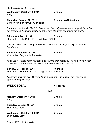Copyright 2013 | Nick Symmonds

| Nick Symmonds' Daily Training Log |
|-----------------------------------|
|-----------------------------------|

**Wednesday, October 12, 2011 7 miles** Easy.

Sore on run. Felt AMAZING on strides.

*It's funny how it works like this. Sometimes the body rejects the slow, plodding miles but embraces the faster stuff! I try not to let it affect me either way too much.*

**Friday, October 14, 2011 8 miles** 60 minutes. Hulls Gulch. Felt good. Love BOISE!

*The Hulls Gulch loop in my home town of Boise, Idaho, is probably my all-time favorite run.*

**Saturday, October 15, 2011 6 miles** 43 minutes. Easy run in Rochester.

*I had flown to Rochester, Minnesota to visit my grandparents. I travel a lot in the fall to visit family and friends, and to make appearances for sponsors.*

**Sunday, October 16, 2011 10 miles** 75 minutes. First real long run. Tough in first 20 minutes.

**WEEK TOTAL: 44 miles**

*I consider anything over 10 miles to be a long run. The longest run I ever do is approximately* 14 miles.

| Monday, October 17, 2011<br>Easy.                | 7 miles |
|--------------------------------------------------|---------|
| Tuesday, October 18, 2011<br>65 minutes. Easy.   | 9 miles |
| Wednesday, October 19, 2011<br>50 minutes. Easy. | 7 miles |

### **Thursday, October 13, 2011 6 miles + 4x100 strides**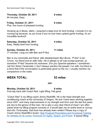**Thursday, October 20, 2011 9 miles**

64 minutes. Easy.

**Friday, October 21, 2011 6 miles** Plus, five hours of pheasant hunting.

*Growing up in Boise, Idaho, I acquired a deep love for bird hunting. I include it in my running log because, as you know if you've ever been upland game hunting, it's an incredible workout!*

**Saturday, October 22, 2011 4 miles** Easy. Really tired from hunting.

**Sunday, October 23, 2011 11 miles** 77 minutes. Long run with Ben and P-Nut.

*Ben is my roommate and friend, elite steeplechaser Ben Bruce. "PNut" is Ian Cronin, my friend and an elite miler. He is allergic to all nuts except peanuts, so somehow "P-Nut" became his nickname. (For you Spanish-speakers: I sometimes call him Señor Cacahuete.) I don't always mention the people I run with, but there is a trend that if the conversation is particularly good on the run, I usually mention my companions in the notes.*

**WEEK TOTAL: 53 miles**

###

**Monday, October 24, 2011 6 miles** First day back with Coach Rad. Light lifting. Felt good.

*"Coach Rad" is my lifting coach Jimmy Radcliffe. He is the head strength and conditioning coach at the University of Oregon. He and I have been working together since 2007, and many improvements in my strength and form over the last five years are due to the genius of this man. He is also a very dear friend of mine! I am often asked what my lifting program consists of. It would take me an entire book to convey that info. Fortunately, that book has already been written! Please buy a copy of Coach Jimmy Radcliffe's books:* High Powered [Plyometrics and](https://www.amazon.com/Functional-Training-Athletes-All-Levels/dp/1569755841) Functional Training [for Athletes at All Levels:](https://www.amazon.com/Functional-Training-Athletes-All-Levels/dp/1569755841) Workouts for Agility, Speed, and Power. *A typical lifting*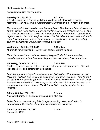*session take a little over one hour.*

### **Tuesday Oct. 25, 2011 9.5 miles**

2.5 miles warm up, 2.5 miles cool down. Work out is 5x4min with 2 min jog recoveries. Ran with Jemma. Approximately 3:20 through the 1K mark. Felt great.

*This was my first track session back from my break. The 4minute intervals were not terribly difficult. I didn't want to push myself too hard on my first workout back—thus the relatively slow time of 3:20 at the 1-kilometer mark. I never feel a huge sense of urgency to jump back into tough sessions in the fall. Often my teammate and, in this case, training partner, Jemma Simpson can be heard telling me to "stop cutting corners" as I lollygag though a fall workout. Love her!*

**Wednesday, October 26, 2011 6.25 miles** 45-minute run. Plus lifting. Plus 4x100m strides. Getting fatiqued.

*Here I have mentioned that I was feeling "fatigued," which is not a surprise, considering I had just reintroduced lifting and intervals into my training regimen.*

### **Thursday, October 27, 2011 0.25 miles**

Started to jog, stepped up onto a curb, and felt a sharp pain in my ankle. Pinched joint capsule? Feels better after mobilization.

*I can remember this "injury" very clearly. I had just started off on an easy run near Hayward Field with Ben Bruce and his fiancée, Stephanie Rothstein. I tried to run it off, but it did not seem to get better. I hobbled back to Hayward and met with Coach Rowland. He advised that I take a day or two off to see if it improved. No season is completely free of these issues. The British call little nagging injuries like this "niggles."*

### **Friday, October 28th, 2011 0 miles**

Ankle still hurting. 45 minutes on the spin bike plus abs.

*I often jump on the stationary bike to replace running miles. "Abs" refers to approximately 10 minutes of abdominal strengthening exercises.*

**Saturday, October 29, 2011 0 miles** Sore ankle. OFF.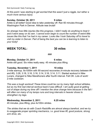*At this point I was starting to get worried that this wasn't just a niggle, but rather a much more serious injury.*

**Sunday, October 30, 2011 9 miles** Ankle is all better! Good idea to take yesterday off. Ran 60 minutes through Washington Park in Denver. Altitude was brutal!

*So strange how little injuries like this progress. I didn't really do anything to treat it and it went away on its own. I cannot even begin to count the number of weird little issues like this that I've had in my career. Looks like I took Saturday off to travel to visit my sister in Denver. Part of being the best you can be is learning to listen to your body!*

### **WEEK TOTAL: 30 miles**

###

### **Monday, October 31, 2011 6 miles**

Ankle still good. Six miles really easy. 45 minutes plus lifting.

### **Tuesday, November 1, 2011 10 miles**

3-mile warmup. 8x1000m with 90-second recoveries (4-minute recovery between #4 and #5). 3:28, 3:18, 3:16, 3:16, 3:14, 3:16, 3:14, 3:11. Started workout in Nike Lunars, changed to Nike Marathoners after fourth interval. Felt OK. Lots of work! 2-mile cooldown.

*This was a tough workout! These times could be run by many high school athletes, but as my first real interval workout back it was difficult. I am quite good at getting out of shape during my time off! I mention the shoe change here because in the fall I will often run many of my tempo runs and long intervals in heavier shoes to strengthen my legs.*

### **Wednesday, November 2, 2011 6.25 miles**

45 minutes, plus lifting, plus 4x100m strides.

*The strides that we do with Coach Radcliffe are almost always barefoot, and we try to exaggerate proper sprinting mechanics, i.e. good knee lift, good posture, strong arm drive, etc.*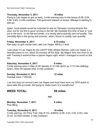### **Thursday, November 3, 2011 10 miles**

Flying to Las Vegas so got up early. 3-mile warmup plus 4-mile tempo (6:08, 6:04, 5:48, 5:40). 3-mile cooldown. Felt good and relaxed on tempo. Mileage is starting to add up!

*Again, most people would be surprised to see an Olympian running tempos this slow, but for me this is good running in the fall. My mentality this time of year is "Just put in the work." In the fall and winter, it is mostly about quantity and not quality. This mentality flips in the spring and summer, when I focus on quality over quantity.*

**Friday, November 4, 2011 6.75 miles** Ran easy on golf course near Lake Las Vegas. REALLY tired.

*I was down in Las Vegas for the USATF Elite Athlete Retreat. Lake Las Vegas is a beautiful place to run, about 30 minutes off the Strip. My fatigue here has more to do with Tuesday's workout than a typical Vegas night, which I managed to avoid on this trip.*

**Saturday, November 5, 2011 8 miles** 3-mile warmup plus 3 miles of hill repeats (0.15 mile sprint up, 0.15 mile walk/jog down). Nine hill repeats total. 2-mile cooldown.

**Sunday, November 6, 2011 12 miles** Average pace: 7:28/mile.

*I ran this long run around Lake Las Vegas and must have worn my GPS watch to have data this accurate. Not going to make much of a marathoner!*

### **WEEK TOTAL: 59 miles**

### ###

**Monday, November 7, 2011 6 miles** Plus lifting.

**Tuesday, November 8, 2011 10 miles** 3-mile warmup. On Pre's Trail: mile (5:10), 4x800m (2:26, 2:24, 2:20, 2:20), mile (5:10). 5x100m strides. 2-mile cooldown.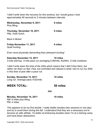*I didn't write down the recovery for this workout, but I would guess I took approximately 90 seconds to 2 minutes between intervals.*

| Wednesday, November 9, 2011<br>Plus lifting.                                                                                                                                                                          | 6 miles  |  |
|-----------------------------------------------------------------------------------------------------------------------------------------------------------------------------------------------------------------------|----------|--|
| Thursday, November 10, 2011<br>Hilly. Hulls Gulch.                                                                                                                                                                    | 8 miles  |  |
| <b>Back in Boise!</b>                                                                                                                                                                                                 |          |  |
| Friday November 11, 2011<br>Quail hunting.                                                                                                                                                                            | 0 miles  |  |
| Even more physically demanding than pheasant hunting!                                                                                                                                                                 |          |  |
| <b>Saturday November 12, 2011</b><br>3-mile warmup. 3-mile pace run averaging 5:28/mile. 6x200m. 2-mile cooldown.                                                                                                     | 10 miles |  |
| I didn't write down the time of the 200s which means that I didn't time them, but<br>rather ran them on feel. Fast, but controlled and relaxed is what I aim to run my 200s<br>in this time of year after a pace run. |          |  |
| Sunday, November 13, 2011<br>Long run. Average pace: 6:52/mile.                                                                                                                                                       | 10 miles |  |
| <b>WEEK TOTAL:</b>                                                                                                                                                                                                    | 50 miles |  |
| ###                                                                                                                                                                                                                   |          |  |
| Monday, November 14, 2011                                                                                                                                                                                             | 10 miles |  |

AM: 6 miles plus lifting. PM: 4 miles.

*This appears to be my first double. I really dislike doubles (two sessions in one day) and try to avoid them during the fall. I understand that they are a necessary evil to become an elite athlete. I'm better at embracing doubles when I'm at a training camp and have fewer distractions.*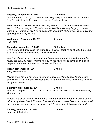### **Tuesday, November 15, 2011 11.5 miles**

3-mile warmup.  $2x(4, 3, 2, 1$  minute). Recovery is equal to half of the next interval. Plus 5x1 minute with 90-second recoveries. 2-mile cooldown.

*When we run a "minutes" workout like this, we try to run fast but relaxed when we are "on." The recovery or "off" part of the workout is really easy jogging. I usually wear a GPS watch for this type of workout to keep track of the miles. They really add up doing something like this.*

### **Wednesday, November 16, 2011 7 miles** Plus lifting.

**Thursday, November 17, 2011 10.5 miles** 3-mile warmup. 5-mile pace run (3 medium, 1 slow, 1 fast). Miles at 5:25, 5:35, 5:28,  $5:48.5:15.$  Plus  $4x100m$  strides. 2-mile cooldown.

*This kind of session is a continuous 5mile run. There are no breaks between the miles; however, mile four is intended to allow the heart rate to come down a bit in preparation for the subthreshold pace of the fifth mile.*

**Friday, November 18, 2011 7 miles** Easy. Plus crabbing.

*Having spent the last ten years in Oregon, I have developed a love for the ocean and all that it has to offer! I will often drive an hour from Eugene to Florence to catch Dungeness crabs.*

**Saturday, November 19, 2011 9 miles** Marcola hill repeats. 2x(350m, 300m, 200m, 300m, 350m) with a 2-minute recovery after each run.

*Marcola is a small town outside Eugene. There are some fire roads nearby that are ridiculously steep. Coach Rowland likes to torture us on these hills occasionally. I did not put down my warmup or cooldown, but 2–3 miles of each is pretty standard.*

### **Sunday, November 20, 2011 12 miles** Long run, 83 minutes.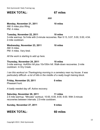### **WEEK TOTAL: 67 miles**

###

**Monday, November 21, 2011 10 miles** AM: 6 miles plus lifting. PM: 4 miles.

**Tuesday, November 22, 2011 10 miles** 3-mile warmup. 5x1mile with 2-minute recoveries. Ran 5:13, 5:07, 5:00, 5:00, 4:54. 2-mile cooldown.

**Wednesday, November 23, 2011 10 miles** AM: 6 miles. PM: 4 miles. Very tired.

*All the work is starting to add up here.*

**Thursday, November 24, 2011 10 miles** 3-mile warmup. 4x400m hill plus 10x100m hill. Walk-down recoveries. 2-mile cooldown. In Dry Creek.

*I ran this workout on Thanksgiving morning in a cemetery near my house. It was particularly difficult—a lot of hills in the middle of a really tough training block.*

**Friday, November 25, 2011 0 miles** Pheasant hunt.

*A badly needed day off. Active recovery.*

**Saturday, November 26, 2011 11 miles** 2.5 mile warmup. "Minutes" workout. 10:00, 6:00, 8:00, 6:00. With 3-minute recoveries between intervals. 2.5-mile cooldown.

**Sunday, November 27, 2011 9 miles**

### **WEEK TOTAL: 60 miles**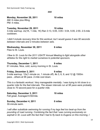Copyright 2013 | Nick Symmonds

Nick Symmonds' Daily Training Log

###

### **Monday, November 28, 2011 10 miles**

AM: 6 miles plus lifting. PM: 4 miles.

### **Tuesday, November 29, 2011 10 miles**

3-mile warmup. 2x(1K, 1 mile, 1K) Ran 3:13, 5:05, 3:05 / 3:04, 5:05, 2:55. 2.5-mile cooldown.

*I didn't include recovery time for this workout, but I would guess it was 90 seconds between intervals and 2 minutes between sets.*

**Wednesday, November 30, 2011 6 miles** Flew to St. Louis.

*I flew to St. Louis for the 2011 USATF Annual Meeting to fight alongside other athletes for the right to market ourselves to potential sponsors.*

**Thursday, December 1, 2011 9 miles** 61 minutes. Nice, cold, sunny morning in St. Louis.

**Friday, December 2, 2011 9 miles** 3-mile warmup.  $12x(1 \text{ minute on}, 1 \text{ minute off})$ . #s 3, 6, 9, and  $12 \text{ @ } 1500 \text{m}$ pace...others at 5K pace. 2-mile cool down.

*This is a fantastic workout. Very manageable mentally. I was trying to hit close to a quarter mile for the fast intervals. The slower intervals run at 5K pace were probably close to 70 second pace for a quarter mile.*

### **Saturday, December 3, 2011 10 miles**

Felt great. Averaged 6:50/mile.

**Sunday, December 4, 2011 0 miles** 30-minute swim.

*I will often substitute swimming for running if my legs feel too beatup from the pounding of road running. Combining the fact that I was running exclusively on asphalt in St. Louis with the fact that I had to fly back to Eugene on this morning, I*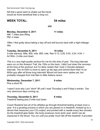*felt that a good swim* to shake out the travel would be more beneficial than a long run.

**WEEK TOTAL: 54 miles**

###

**Monday, December 5, 2011 11 miles** AM: 7 miles plus lifting. PM: 4 miles.

*Often I feel quilty about taking a day off and will bounce back with a high-mileage day.*

**Tuesday, December 6, 2011 10 miles** 3-mile warmup. Mile, 800, mile, 800, mile. Ran 5:13, 2:28, 5:03, 2:24, 4:54. + 4x150m. 2-mile cool down.

*This is a very high-quality workout for me for this time of year. The long intervals were run on the Amazon Trail, the 150s on the track. I didn't put down the recovery at the time of the workout, but I'm fairly certain that I took 2 minutes between intervals. The 4x150m is more to open up the legs and remind them that I'm an 800m guy after all those long intervals! Would not have worn spikes yet, but probably changed from trail flats to Nike Katana racers.*

**Wednesday, December 7, 2011 9 miles** Plus a short lift.

*I wasn't sure why I put "short" lift until I read Thursday's and Friday's entries. Two very strenuous days coming up.*

**Thursday, December 8, 2011 8 miles**

Treadmill testing plus 2-mile cool down.

*Coach Rowland has all of his athletes go through threshold testing at least once a year. It is a grueling process in which you are placed on a treadmill, hooked up to a device that measures your CO2 output, and pricked with a needle every few minutes. As the treadmill gets faster, the body produces more lactic acid, which can be measured in the blood. You run until you pretty much fall off the treadmill. It provides*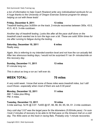Copyright 2013 | Nick Symmonds

Nick Symmonds' Daily Training Log

*a ton of information to help Coach Rowland write very individualized workouts for us. A huge thanks to the University of Oregon Exercise Science program for always helping us out with these tests!*

### **Friday, December 9, 2011 13 miles**

Treadmill testing plus 3x300m on the track. 2-minute recoveries between 300s. 43.5, 43.5, 42.5. 3-mile cooldown.

*Another day of treadmill testing. Looks like after all the pace stuff done on the treadmill coach wanted me to turn the legs over a bit. These are solid 300m times for me after running to fatigue during the testing.*

**Saturday, December 10, 2011 6 miles** Really easy.

*Again, this is referring to my intended exertion level and not how the run actually felt. After two strenuous testing days, I would not be surprised if I ran 8+ minutes/mile on this recovery day.*

**Sunday, December 11, 2011 13 miles** 91-minute long run.

*This is about as long a run as I will ever do.*

### **WEEK TOTAL: 70 miles**

*A very solid week. I know that some of these miles were treadmill miles, but I still count those—especially when most of them are sub-5:30 pace!* 

**Monday, December 12, 2011 11 miles** AM: 7 miles plus lifting. PM: 4 miles.

**Tuesday, December 13, 2011 10 miles** 3-mile warmup. 5x1K @ 3:07. 7x400 @ 67, 66, 66, 64, 65, 64, 61. 2-mile cooldown.

*Very cold day! 3:07 was the target pace for the kilometers (5:00/mile pace). I'm sure I took 2 minutes of recovery to be able to hit that pace on the Amazon trail on a cold day. The 400s were on the track in racing flats. Probably only 1minute recoveries.*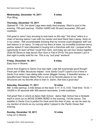### **Wednesday, December 14, 2011 9 miles**

Plus lifting.

**Thursday, December 15, 2011 0 miles** Opened W. 11th. 3rd store! Legs were really tired anyway. Went to pool in the evening. 750-yard warmup. 10x50m HARD with 50-yard recoveries. 250-yard cooldown.

*Felt great to swim! Very amusing to look back on this day! "3rd store" refers to a chain of tanning salons I own with my mentor and best friend Sam Lapray. Early on in my career, I felt uncomfortable knowing that my income could disappear with one bad season or an injury. To help put my fears at ease, my incredibly businesssavvy partner asked if I was interested in buying into a franchise with him. I jumped at the opportunity to learn all that I could from Sam, and today we own four stores together. (Sold All Stores to help launch Run Gum in Fall of 2015) The pool session I put in that night is pretty solid for me. This is my "surf prep" workout!*

### **Friday, December 16, 2011 8 miles**

Easy hour in Nicene.

*Drove from Eugene to Santa Cruz last night. Legs felt surprisingly good though! Fresh pair of Nike Structures helped. I love Santa Cruz!!! I spent a lot of time in Santa Cruz when I was dating elite runner Maggie Vessey. A beautiful woman, a beautiful town! Nicene Marks Park is one of my favorite places to run. Nike Structures are my favorite shoe to train in. Damn, that was a good day!*

### **Saturday, December 17, 2011 10 miles** AM: 3-mile warmup. 3-mile tempo on the track: 5:17, 5:13, 5:03. Total time: 15:33. + 10x200 in 30 seconds with 300-second recoveries. 2-mile cooldown.

*Felt great! Ran in shorts at Aptos High School. Aptos High School has a fantastic track to work out on MOVE DOWN HERE! In the evening, I hit the waves. The weather in Santa Cruz is perfect for track work this time of year, as can be seen by my mention of shorts as my running attire! I played in the Pacific Ocean that evening.*

**Sunday, December 18, 2011 12 miles** Long run in Nicene.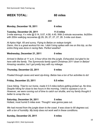### **WEEK TOTAL: 60 miles**

###

**Monday, December 19, 2011 6 miles**

### **Tuesday, December 20, 2011 11.5 miles**

3-mile warmup.  $4 \times$  mile  $\textcircled{a}$  5:14, 5:07, 4:58, 4:45. With 2-minute recoveries. 6x200m with 200m walk/jog recoveries @ 29, 29, 27, 27, 27, 26. 3-mile cool down.

*At Aptos High. 65 and sunny. Flying to Belize on redeye tonight. Damn, this is a great workout for me. I didn't bring spikes with me on this trip, so the entire thing was done in racing flats. Perfect weather!*

### **Wednesday, December 21, 2011 0 miles**

*Arrived in Belize at 11 a.m. 2hour drive into the jungle. Exhausted, but glad to be here with the family. The Symmonds family spent Christmas 2011 down in Belize! Amazing vacation, but I got pretty lazy with my mileage.*

### **Thursday, December 22, 2011 0 miles**

*Floated through caves and went ziplining. Belize has a ton of fun activities to do!*

**Friday, December 23, 2011 0.5 miles**

*Cave hiking. Tried to run home, made it 0.5 miles before getting picked up. No time. Despite hiking for close to two hours in the morning, I tried to squeeze a run in. However, we were running out of time to catch our shuttle, and my family thought it better to scrap the run.*

**Saturday, December 24, 2011 5 miles** Hottest, most humid 5 miles ever. Thought I was gonna pass out.

*We had moved from the jungle down to the coast. It was close to 90 degrees out, with a ton of humidity. My body does not work well in these conditions.*

### **Sunday, December 25, 2011 5 miles**

Copyright 2013 | Nick Symmonds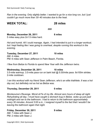*Ran in the evening. Only slightly better. I wanted to go for a nice long run, but I just couldn't go much more than 30–40 minutes due to the heat.*

**WEEK TOTAL: 28 miles**

###

**Monday, December 26, 2011 8 miles** 5 miles easy plus 2x1.5 miles hard.

*Hot and humid. All I could manage. Again, I had intended to put in a longer workout, but I kept feeling like I was going to overheat, despite running this workout in the evening.*

**Tuesday, December 27, 2011 10 miles** AM: 4 miles. PM: 6 miles with Sean Jefferson in Palm Beach, Florida.

*I flew from Belize to Florida to spend New Year with the Jefferson twins.*

**Wednesday, December 28, 2011 10 miles** 3.5-mile warmup. 3.5-mile pace run on bark trail  $@$  5:30/mile pace. 6x100m strides. 2-mile cooldown.

*I ran this workout with my friend Sean Jefferson, who's an elite triathlete. It was a hot day out, but definitely not as hot as Belize was.*

**Thursday, December 29, 2011 0 miles**

*Montezuma's Revenge. Worst sh\*ts of my life. Almost zero hours of sleep all night. Rehydrating all day. I must have caught a stomach bug in Belize. woke up just past midnight and ran to the bathroom. I had to return to the bathroom approximately every 30 minutes. Around 3:00 a.m., I resigned myself to the fact that I wouldn't be leaving the bathroom again that night.*

**Friday, December 30, 2011 9 miles** AM: 7 miles with Sean J. PM: 2 miles with Sean J.

Copyright 2013 | Nick Symmonds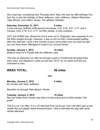*Not a bad day, considering how Thursday went. Also, this was my 28th birthday! Fun fact: this is also the birthday of Sean Jefferson, John Jefferson, Dathan Ritzenhein, Tiger Woods, and LeBron James. The athletes' birthday!*

**Saturday, December 31, 2011 9 miles** 3-mile warmup. 8x800m w/90-second recoveries. 2:24, 2:20, 2:21, 2:17, rest 4 minutes, 2:20, 2:18, 2:21, 2:17. 4x100m strides. 2-mile cooldown.

*HOT and HUMID day. Almost too hot to work out in. Originally I was supposed to run the 800s straight through. However, it was so hot out that I contemplated quitting after four intervals. I took a few minutes to pour some water over my head and get my core temp down. Managed to tough it out, but just barely!*

**Sunday, January 1, 2012 10 miles** Medium-long run in Florida with the Jefferson crew.

*This was an awesome run! We ran through a park in Florida that had great trails, palm trees, and alligators! I woke up and saw "2012" on my watch and felt very motivated to train.*

### **WEEK TOTAL: 56 miles**

###

**Monday, January 2, 2012 9 miles** 62 minutes with Sean Jefferson.

*Beautiful run through Palm Beach, Florida.*

**Tuesday, January 3, 2012 10 miles** Ran the Valley River Center loop with a 5-mile pickup and 4x100m strides. Felt great!

*This is a run I do often. It is a 10mile loop from my house, and I will often pick up the middle five just slightly below threshold pace. I like to stimulate the legs with some strides afterward.*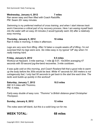### **Wednesday, January 4, 2012 7 miles**

Ran seven easy and then lifted with Coach Radcliffe. PM: Swam 20+ easy minutes.

*Swimming is my preferred method of cross training, and when I start intense track work it becomes a critical part of my recovery process. Here I am easing myself back into the water with an easy 20 minutes (I would typically swim 30) after a relatively easy morning.*

### **Thursday, January 5, 2012 10 miles** Ran 6 miles in morning, 4 miles in afternoon.

*Legs are very sore from lifting. After I'd taken a couple weeks off of lifting, I'm not surprised that my legs were sore. Six miles easy is my typical "off" day when I'm really training hard.*

### **Friday, January 6, 2012 9.5 miles**

Workout at Hayward. 3-mile warmup. 1 mile  $@$  5:07, 10x300m averaging 47 seconds with 50-second jog-the-bend recoveries. 3-mile cooldown.

*It was quite cold on this morning, and Coach Rowland felt that a good mile to warm up the body before the 300s would be best. While 47 seconds for 300 meters is not outrageously fast, I only had 50 seconds to get back to the start line each time. The lactic acid builds up quickly in this workout!*

**Saturday, January 7, 2012 10.5 miles** AM: 6.5 miles with Thommo. PM: 4 miles.

*Fairly easy double of easy runs. "Thommo" is British distance great Christopher Thompson.*

**Sunday, January 8, 2012 12 miles**

*The notes were left blank, but this is a solid long run for me.*

**WEEK TOTAL: 68 miles**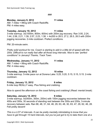###

### **Monday, January 9, 2012 11 miles**

AM: 7 miles + lifting with Coach Radcliffe. PM: 4 miles easy.

### **Tuesday, January 10, 2012 11 miles**

3-mile warmup. 3x(1000m, 800m, 600m) with 200m jog recovery. Ran 3:00, 2:24, 1:44, 2:58, 2:21, 1:39, 2:57, 2:23, 1:38. + 4x200 in 28.5, 27.2, 26.5, 26.5 with 200m jogging recoveries. 2-mile cooldown. Prefect conditions.

PM: 20-minute swim.

*Pretty solid workout for me. Coach is starting to add in a little bit of speed with the 200s. Difficult to run really fast after all those long intervals. Nice to see "perfect conditions" in January! Thanks, Track Town.*

### **Wednesday, January 11, 2012 11 miles**

AM: 7 miles + lifting with Coach Radcliffe. PM: 4 miles easy.

### **Thursday, January 12, 2012 10 miles**

3-mile warmup. 5-mile pace run at Dorena Lake: 5:25, 5:20, 5:15, 5:15, 5:15. 2-mile cooldown.

**Friday, January 13, 2012 6 miles** 6-mile loop REALLY easy. Plus fishing and crabbing.

*Nice to spend the afternoon on the coast fishing and crabbing! (Read: mental break).*

### **Saturday, January 14, 2012 9 miles**

3-mile warmup. 5x(400m, 300m, 200m) with 100m jogging recoveries between the 400s and 300s, 30 seconds of standing rest between the 300s and 200s, 3-minute recovery between sets. Ran 68, 48, 31, 64, 46, 29, 63, 48, 30, 63, 47, 29, 62, 46, 28. Felt pretty decent!

*This is a LOT of intervals. It can be pretty mentally intimidating to know that you have to get through 15 hard intervals, but you've just got to try to take them one at a*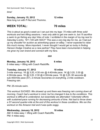*time!*

### **Sunday, January 15, 2012 12 miles**

Nice long run with P-Nut and Thommo.

### **WEEK TOTAL: 70 miles**

*This is about as good a week as I can put into my legs: 70 miles with three solid workouts and two lifting sessions. I was only able to get one swim in, but I'll sacrifice a swim to go fishing any day! Also of note: I scribbled in the margin of my log next to Saturday's entry, "\$11,100 with HDC!!" This was a very big day for me, as I had put up my shoulder for auction as advertising space on eBay. I never expected to raise this much money. More important, I never thought I would get so lucky in finding Hanson Dodge Creative as a new partner! They have been monumental in helping me grow my own brand and connect with my fans.*

### ###

### **Monday, January 16, 2012 6 miles**

6 miles easy + lifting with Coach Radcliffe.

### **Tuesday, January 17, 2012 10 miles**

3mile warmup. 1K @ 3:20, 4:30 min @ 4:40/mile pace. 1K @ 3:20, 3:30 @ 4:30/mile pace. 1K @ 3:20, 2:30 @ 4:30/mile pace. 1K @ 3:20, 60 seconds @ sub-400/mile pace (57). 2-minute recoveries on everything. 2-mile cooldown. Freezing rain.

PM: 25-minute swim.

*This workout SUCKED. We showed up and there was freezing rain coming down all morning. Coach had a workout in mind, but he changed it due to the conditions. This workout is difficult to understand, but essentially we alternated 1kilometer efforts with sustained-pace running for decreasing amounts of <i>time.* Not bad to *throw down a 57second quartermile at the end of this workout in these conditions. We ran this workout on the Amazon trail and it was quite soggy.*

### **Wednesday, January 18, 2012 10 miles**

AM: 6 miles easy + lifting with Coach Radcliffe. PM: 4 miles easy.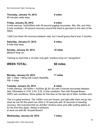### **Thursday, January 19, 2012 9 miles**

65 minutes really easy.

### **Friday, January 20, 2012 9 miles**

3-mile warmup. 3x(5x300m) with 45-second jogging recoveries. 46s, 45s, and 44s). 2-mile cooldown. 45-second recovery around the bend to get back to the start of the 300m.

*I didn't put down the recovery between sets, but I would guess that it was 2 minutes.*

**Saturday, January 21, 2012 6 miles** 6-mile loop easy.

**Sunday, January 22, 2012 10 miles** Medium-long run.

*Training so hard that a 10-miler only gets "medium-long run" recognition!* 

### **WEEK TOTAL: 60 miles**

###

**Monday, January 23, 2012 11 miles** AM: 7 miles + lifting with Coach Radcliffe. PM: 4 miles.

**Tuesday, January 24, 2012 9 miles** 3-mile warmup.  $3x(1000m + 5x200m \omega)$  30–30) with 3-minute recoveries between sets. Kilometers in 2:55, 2:53, 2:52. 2-mile cooldown. Ran with Russell Brown. VERY wet conditions. Wore spikes for first time on the last set of 200s. Achilles sore.

*This is a great workout. The 1000m runs are honest, and right after them we go into what we call 3030s which are 200s in 30 seconds with 30 seconds of standing recovery. Not surprised that my Achilles' tendons were sore after putting spikes on for the first time again. Always a pleasure to work out with Mr. Russell Brown!*

### **Wednesday, January 25, 2012 7 miles**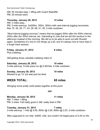AM: 50 minutes easy + lifting with Coach Radcliffe.  $PM: 25$ -minute swim.

**Thursday, January 26, 2012 12 miles** AM: 3 miles easy. PM: 3-mile warmup. 3x(500m, 300m, 200m) with next-interval jogging recoveries. Ran 75, 45, 29, 71, 43, 28, 68, 41, 26. 2-mile cooldown.

*"Nextinterval jogging recovery" means that we jogged 300m after the 500m interval, 200m after the 300m interval, etc. Interesting to note that we did this workout in the afternoon instead of the morning. We did so to be able to work out with Russell again. Sometimes it's nice to mix things up a bit, and it's always nice to have help in a tough track session.*

**Friday, January 27, 2012 6 miles** Plus crabbing.

*Still getting those valuable crabbing miles in!*

**Saturday, January 28, 2012 10 miles** 3-mile warmup. 5-mile pace run  $@$  5:30/mile. 2-mile cooldown.

**Sunday, January 29, 2012 10 miles** Wanted to go 13, but was just too tired.

### **WEEK TOTAL: 65 miles**

*Stringing some pretty solid weeks together at this point.*

###

**Monday, January 30, 2012 11 miles** AM: 7 miles + lifting. PM: 4 miles. Felt really good in AM, really tired in PM.

**Tuesday, January 31, 2012 7 miles** 3-mile warmup. 1 mile @ 4:55, 800m @ 2:26, 800m @ 2:23. 2-mile cooldown.

*Was supposed to run mile, 4x800, mile, but couldn't hit target pace of 2:20 on the*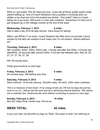*800s so I got pulled. Felt SO tired and sore. Looks like all those quality weeks really started adding up. One of Coach Rowland's many qualities is knowing when an athlete is too tired and not to be pushed any farther. "Got pulled" refers to Coach telling me to go home. Still snuck in a two-mile cooldown. Sometimes it's hard not to get wrapped up in the mileage number at the end of the week.*

### **Wednesday, February 1, 2012 0 miles**

Had to take a day off to let legs recover. Gave blood for testing.

*When I get REALLY run down, Coach Rowland will often have me provide a blood sample so the labs can analyze it and make sure I'm not anemic, vitamindeficient, etc.*

### **Thursday, February 2, 2012 8 miles**

AM: 2x(200m, 400m, 200m, 200m) with 1-minute rest after first 200m, 3-minute rest after400m, 30 seconds after second 200m, 8-minute rest between sets. Ran 25, 53, 27, 27, 27, 55, 27, 28.

PM: 20-minute swim.

*Pretty good workout on tired legs.*

### **Friday, February 3, 2012 6 miles**

45 minutes easy. Still feeling very tired.

**Saturday, February 4, 2012 0 miles** Swim workout: 10-minute warmup. 25x(25m easy, 25 hard). 250m swim cooldown.

*This is a measure of last resort. If my energy levels are OK but my legs are just too sore to run on, I will go into the pool and do a swimming interval workout. This allows me to maintain the cardiovascular work without continuing to pound on sore legs.*

**Sunday, February 5, 2012 10 miles** Ran the Valley River Center loop. Felt so-so.

### **WEEK TOTAL: 42 miles**

*If you ever hear me describe my legs as "fried," this week is what I am referring to.*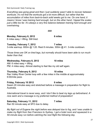*Everything was going great and then I just suddenly wasn't able to recover between workouts. It's not that the workouts got a lot more difficult, but rather that the accumulation of miles from back-to-back solid weeks got to me. On one hand, it means I know I was training hard enough, but on the other hand, I tipped the scales just a little too far. It's always a very fine balance between training hard enough and overtraining.*

###

### **Monday, February 6, 2012 6 miles**

6 miles easy + lifting. Still tired.

### **Tuesday, February 7, 2012 7 miles**

3-mile warmup.  $600m$   $@$  1:20. Rest 8 minutes. 300m  $@$  41. 3-mile cooldown.

*Those times are OK on tired legs, but normally should have been able to run much faster than that.*

### **Wednesday, February 8, 2012 10 miles**

AM: 6 miles easy + lifting. PM: 4 miles easy. Almost starting to feel like my old self again.

### **Thursday, February 9, 2012 10 miles**

Ran Valley River Center loop with a few miles in the middle at approximately 6:00/mile pace.

### **Friday, February 10 2012 0 miles**

Swam 20 minutes easy and stretched before a massage in preparation for flight to Australia.

*International travel is never easy, and I don't like to beat my legs up beforehand. A nice swim and a massage is my preferred method of preparation!*

### **Saturday, February 11, 2012 7 miles**

Ran 50 minute easy at SFO due to delay.

*My flight out of Eugene the night before was delayed due to fog, and I was unable to make my flight from San Francisco to Sydney. I got a hotel room and squeezed in a 50minute easy run before catching the next flight the following day.*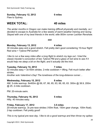### **Sunday, February 12, 2012 0 miles**

Flew to Sydney.

### **WEEK TOTAL: 40 miles**

*The winter months in Oregon can make training difficult physically and mentally, so I decided to escape to Australia for a few weeks of warmweather training and racing. Stayed with one of my best friends in the world, elite 800m runner Lachlan Renshaw.*

###

### **Monday, February 13, 2012 4 miles**

30 minutes easy and a good stretch. Felt pretty darn good considering 15-hour flight! Red wine + Tylenol PM works!!

*I like to run a few easy miles after a long flight to stretch my legs out. I tried the classic traveler's concoction of two Tylenol PM and a glass of red wine to see if it would help me sleep a bit on the flight, and it actually did the trick.*

### **Tuesday, February 14, 2012 7 miles** 32 minutes easy + 3x150m strides. 2-mile cooldown + lifting. Felt much better after strides.

*Another solo Valentine's Day! The loneliness of the long-distance runner...* 

### **Wednesday, February 15, 2012 8 miles**

AM: 3-mile warmup. 8x400m @ 69, 67, 66, 65, 63, 66, 65, 63. 300m @ 38.9, 200m @ 25. 2mile cooldown.

PM: 20-minute swim.

### **Thursday, February 16, 2012 5 miles**

Hilly. 40 minutes easy.

### **Friday, February 17, 2012 3.5 miles**

20-minute warmup. 3x pre-race strides (100m float, 150m gear change, 100m float). 2-lap cooldown. Felt pretty good!

*This is my typical pre-race day. I like to do a good warmup and then throw my spikes*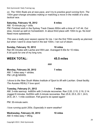Copyright 2013 | Nick Symmonds

Nick Symmonds' Daily Training Log

*on. The 100m floats are at race pace, and I try to practice good running form. The 150m gearchange simulates making or matching a move in the middle of a slow, tactical race.*

### **Saturday, February 18, 2012 8 miles**

AM: 10-minute jog + drills.

PM: Finished sixth in the Sydney Track Classic 800m with a time of 1:47.44. Out slow, moved up well on homestretch. In about third place with 100m to go. No kick! Need more speedwork.

*This was a really poor season opener for me. I ran the first 700m exactly as planned, but when I went to close hard in the last 100m, I ran out of steam*.

### **Sunday, February 19, 2012 10 miles** Ran 65 minutes with Lachie and Will Leer. Averaged 6:30s for 10 miles. A bit quick for one of my long runs.

### **WEEK TOTAL: 45.5 miles**

###

**Monday, February 20, 2012 7 miles** AM: 7 miles easy + strides. PM: Lift @ NSWIS.

*I drove to the New South Wales Institute of Sport to lift with Lachlan. Great facility. The Aussies REALLY love sport.*

**Tuesday, February 21, 2012 7 miles** AM: 3-mile warmup. 4x800m with 2-minute recoveries. Ran 2:20, 2:15, 2:19, 2:14. Jogged 8 minutes. 6x200m with 2-minute recoveries. Ran 25.8, 25.5, 25.1, 24.5, 24.6, 24.1. 1-mile cooldown. Felt good to do speed again!

PM: 30-minute swim.

*I love running quick 200s. Especially in warm weather!*

### **Wednesday, February 22, 2012 10 miles** AM: 6 miles easy + lifting.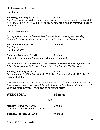**Monday, February 27, 2012 6 miles** 42 minutes easy. Felt sore from yesterday.

**WEEK TOTAL: 56 miles**

**Tuesday, February 28, 2012 10 miles**

Copyright 2013 | Nick Symmonds

AM: 3-mile warmup. 8x300m with 1-minute jogging recoveries. Ran 45.5, 44.5, 45.2, 44.6, 44.4, 44.0, 43.0, 41.2. 2-mile cooldown. Very hot. Swam at Warriewood Beach afterward.

PM: 20-minute swim.

*Sydney has some incredible beaches, but Warriewood was my favorite. Very therapeutic to play in the waves for a few minutes after a hard track session.*

**Friday, February 24, 2012 10 miles** AM: 6 miles easy. PM: 4 miles easy.

### **Saturday, February 25, 2012 9 miles** 60 minutes easy around Narrabeen. Felt pretty damn good!

*Narrabeen is an incredible place to train. There is a nice 6mile trail loop next to an 8lane track with a weight room, all just a few miles from the Pacific Ocean.*

**Sunday, February 26, 2012 6 miles**

3-mile warmup. 2x150m fast. 400m in 50.1. Rest 8 minutes. 400m in 49.5. Rest 8 minutes. 2x150m.

*This was a brutal workout. This is what we would call a "speed endurance" session. Essentially, it's trying to run two 400s as fast as possible. 49s are OK for this time of year, but come summer I would want to be running faster.*

### **Thursday, February 23, 2012 7 miles**

30

###

Nick Symmonds' Daily Training Log

PM: 4 miles.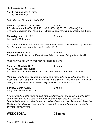AM: 45 minutes easy + lifting. PM: 30 minutes easy.

*Felt OK in the AM, terrible in the PM.*

**Wednesday, February 29, 2012 6 miles** 2.5 mile warmup. 2x600m @ 1:40, 1:30. 2x400m @ 65, 63. 1x300m @ 39.1. 2minute recoveries after each run. Felt terrible on everything, especially the 300m.

### **Thursday, March 1, 2012 0 miles**

Traveled to Melbourne.

*My second and final race in Australia was in Melbourne—an incredible city that I had the pleasure to train in for five weeks during 2011.*

### **Friday, March 2, 2012 4 miles** Pre-race. 25-minute run. 3x100m strides. 2-lap cooldown. Felt pretty shitty still.

*I was nervous about how tired I felt this close to a race.*

### **Saturday, March 3, 2012 7 miles**

AM: 10-minute shakeout jog. PM: Race in Melbourne. Worst race ever. Flat from the gun. Long cooldown.

*Normally I would write my time and place in my log, but I was so disappointed in myself that I did not. (I ran 1:48.xx for sixth in the 800m). I was wondering what was wrong with me. I was upset, and usually when I'm upset I try to run it out.*

**Sunday, March 4, 2012 0 miles** Hung over. Surfed in Jan Joc.

*If running is the healthy way to work through depression, drinking is the unhealthy alternative. Surfing is a cure for depression and hangovers, and Jan Joc is a beautiful little surf town about an hour outside Melbourne. I am fortunate to know the Clarke family, who have been gracious enough to host me there for a few nights over the last few years!*

### **WEEK TOTAL: 33 miles**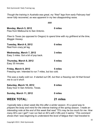*Though the training in Australia was great, my "fried" legs from early February had never fully recovered, as was apparent in my two disappointing races.*

| ###                                                                                                            |          |
|----------------------------------------------------------------------------------------------------------------|----------|
| Monday, March 5, 2012<br>Flew from Melbourne to San Antonio.                                                   | 0 miles  |
| Flew to Texas (as opposed to Oregon) to spend time with my girlfriend at the time,<br>Maggie Vessey.           |          |
| Tuesday, March 6, 2012<br>Rest from crazy jet lag.                                                             | 0 miles  |
| Wednesday, March 7, 2012<br>Easy 3 miles. Got a bit of pop back.                                               | 3 miles  |
| Thursday, March 8, 2012<br>Easy 35 minutes.                                                                    | 5 miles  |
| Friday, March 9, 2012<br>Freezing rain. Intended to run 7 miles, but too cold.                                 | 5 miles  |
| This was a really cold run. It started out OK, but then a freezing rain hit that forced<br>me to cut it short. |          |
| Saturday, March 10, 2012<br>Easy hour in San Antonio, Texas.                                                   | 8 miles  |
| <b>Sunday, March 11, 2012</b>                                                                                  | 0 miles  |
| <b>WEEK TOTAL:</b>                                                                                             | 21 miles |

*I typically take a down week like this after a winter season. It's a good way to prepare the body and mind for the intense training of the spring season. I made an interesting note at the end of this week that read "70's may be too much for me. How many 60's can I get? I can run fast on 60's with 2 lifts and 2 swims." This comment shows that I was beginning to understand the level of fatigue that I had traveled to*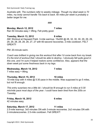*this one, and I'm sure it helped restore some confidence. Also, appears that the*

**Wednesday, March 14, 2012 7 miles** 7 miles easy + lifting.

*down week put some freshness back in my legs.*

**Thursday, March 15, 2012 10 miles** 10-mile loop with 4 miles  $@$  5:30 pace in the middle. Was supposed to go 5 miles,

*This entry surprises me a little bit. I should be fit enough to run 5 miles at 5:30 min/mile pace most days of the year. I could have been tired from the 200s on Tuesday.*

**Friday, March 16, 2012 6 miles** 42 minutes easy.

**Saturday, March 17, 2012 11 miles** 2.5-mile warmup. 3x5 minutes ON with 3-minute recoveries. 2x2 minutes ON with

2-minuterecoveries. 2.5-mile cooldown. Felt GREAT!

Nick Symmonds' Daily Training Log

*Australia with. The numbers refer to weekly mileage. Though my ideal week is 70 miles, my body cannot handle 70s back to back. 60 miles per week is probably a better target for me.*

###

**Monday, March 12, 2012 7 miles** Ran 50 minutes easy + lifting. Felt pretty good.

**Tuesday, March 13, 2012 8 miles** AM: Workout at Hayward Field. 3-mile warmup. 15x200 @ 28, 32, 30, 30, 29, 29, 29, 29, 29, 28, 28, 28, 28, 27, 27 with 60-second recoveries. 2-mile cooldown. FELT **GREAT!!** 

*It's the kind of workout that I should be able to destroy. I obviously felt quite good in*

PM: 20-minute swim.

but not fit enough.

*Coach was brilliant in giving me this workout first after I'd come back from my break.*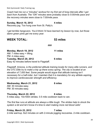Copyright 2013 | Nick Symmonds

Nick Symmonds' Daily Training Log

*Coach had me run a "minutes" workout for my first set of long intervals after I got back from Australia. The "ON" minutes were probably close to 5:00/mile pace and the recovery minutes were close to 7:00/mile pace.*

### **Sunday, March 18, 2012 4 miles**

Recovery jog. Too hung over from St. Patty's.

*I get terrible hangovers. You'd think I'd have learned my lesson by now, but those damn green pints get me every year.*

**WEEK TOTAL: 53 miles**

###

| <b>Monday, March 19, 2012</b>               | 11 miles |
|---------------------------------------------|----------|
| AM: 7 miles easy + lifting.                 |          |
| PM: 4 miles easy.                           |          |
| Tuesday, March 20, 2012                     | 6 miles  |
| Easy 42 minutes before travel to Flagstaff. |          |

*Flagstaff, Arizona, is the preferred altitude training locale for many elite runners, and the OTC Elite try to make a trip up there every spring. The city is located at an elevation of 7,000 feet. Some people would argue that altitude training isn't necessary for a half-miler, but I maintain that it is mandatory for any athlete aspiring to improve cardiovascular strength and efficiency.*

**Wednesday, March 21, 2012 8 miles** AM: 30 minutes easy. PM: 30 minutes easy.

**Thursday, March 22, 2012 8 miles** 5 miles easy. 10x100m strides. 0.5 mile cooldown back to van.

*The first few runs at altitude are always a little tough. The strides help to shock the system a bit and let it know it's time to start making more red blood cells!*

**Friday, March 23, 2012 7 miles** 2-mile warmup. 6x2 minutes on with 2-minute jogging recoveries. 2-mile cooldown.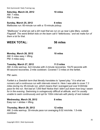Copyright 2013 | Nick Symmonds

Nick Symmonds' Daily Training Log

**Saturday, March 24, 2012 10 miles**

AM: 7 miles. PM: 3 miles.

### **Sunday, March 25, 2012 8 miles**

Mailboxes run: 60-minute run with a 15-minute pickup.

*"Mailboxes" is what we call a dirt road that we run on up near Lake Mary, outside Flagstaff. The weird British kids on the team call it "letterboxes," and we make fun of them a lot for that.*

### **WEEK TOTAL: 56 miles**

###

### **Monday, March 26, 2012 10 miles**

AM: 6 miles easy + lifting. PM: 4 miles easy.

### **Tuesday, March 27, 2012 11.5 miles**

AM: 2-mile warmup. 4x3 minutes with 2-minute recoveries. 10x70 seconds with 90-second recoveries. 2-mile cooldown. Covered 7.3 miles on the fartlek.

PM: swim.

*Fartlek is a Swedish term that literally translates to "speed play." It is what we runners call a continuous run with intervals mixed in. Here I was able to cover 7.3 miles during my 45minute run, which means that I averaged just over 6:00/mile pace for the run. Not bad at 7,000 feet! Notice that I didn't put down how long I swam for in the evening. Swimming is outrageously difficult at altitude, and I'm usually unable to swim continuously and opt for 100m intervals with plenty of rest instead.*

**Wednesday, March 28, 2012 8 miles**

Easy run + strides + lifting.

### **Thursday, March 29, 2012 12 miles**

AM: 2-mile warmup. 30-minute pace run averaging 6:02 min/mile. 1.5-mile cooldown.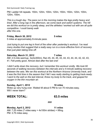PM: Ladder hill repeats. 150m, 120m, 100m, 120m, 150m, 150m, 120m, 100m, 120m, 150m.

*This is a tough day. The pace run in the morning makes the legs pretty heavy and tired. After a long nap in the afternoon, we come back and switch systems. The hill we did this workout on is pretty steep, and the athletes I worked out with are all quite competitive. I could barely walk after this one*.

### **Friday, March 30, 2012 5 miles**

5 miles at approximately 8-minute pace.

*Just trying to put one leg in front of the other after yesterday's workout. I've read many studies that suggest that a really easy run is a more effective form of recovery than just plain taking time off.*

### **Saturday, March 31, 2012 7 miles**

AM: 2.5-mile warmup. 3x(4x300m). Ran 45, 44, 45, 43, 44, 43, 44, 44, 42, 42, 43, 41. Felt pretty good. Almost died after the last one!

*I didn't write down the recovery, but I remember this workout vividly. We took 60 seconds of walking recovery between the intervals and a 4minute walking recovery between the sets. We ran this workout at the Northern Arizona University track, and it was the first time in the season that I felt I was really starting to getting track-ready. I went to the well on the last interval, threw my body to the track, and gasped for oxygen in the thin mountain air.*

### **Sunday, April 1, 2012 10 miles**

Woke up very hung over. Waited till about 5 PM to run 70 minutes easy. Will I never learn?

### **WEEK TOTAL: 63.5 miles**

### ###

### **Monday, April 2, 2012 11 miles**

AM: 7.25 miles (7 miles easy + 4x100m strides) + lifting. PM: 3.75 miles easy.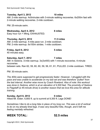*to Flagstaff (a 45minute drive) is another reason that we love this area for altitude training.*

**Sunday, April 8, 2012 0 miles**

*Sometimes I like to do a long hike in place of my long run. This was a lot of vertical to do on my already tired legs. It was very beautiful hike, though, and it left me feeling mentally refreshed.*

Easy hour run + lifting. EXHAUSTED.

**Thursday, April 5, 2012 11.5 miles** AM: 2-mile warmup. 4-mile pace run. 2-mile cooldown. PM: 2-mile warmup. 6x100m strides. 1-mile cooldown.

### **Friday, April 6, 2012 5 miles**

40 minutes easy.

**Saturday, April 7, 2012 7 miles**

AM: In Sedona. 3-mile warmup. 3x(3x400) with 1-minute recoveries. 4-minute recoveries between sets. Ran 62, 59, 60, 60, 59, 56, 61, 61, PULLED. 2mile cooldown. TIRED.

*The 400s were supposed to get progressively faster. However, I struggled with the pace and was unable to accelerate on my last set and was therefore "pulled" from*

*was done in Sedona, which is at an elevation of 4,500 feet. The proximity of Sedona*

PM: 30-minute swim.

Hiked Mt. Elden. 6,800 ft. up to summit at 9,300 ft. Legs DONE!

### Nick Symmonds' Daily Training Log

### **Tuesday, April 3, 2012 10 miles**

AM: 2-mile warmup. 4x5minutes with 3-minute walking recoveries. 6x200m fast with 2-minute walking recoveries. 2-mile cooldown.

 $PM: 25$ -minute swim.

### **Wednesday, April 4, 2012 8 miles**

### **WEEK TOTAL: 52.5 miles**

Copyright 2013 | Nick Symmonds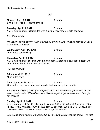###

**Monday, April 9, 2012 6 miles**  $5$ -mile jog + lifting + 4x150m strides.

**Tuesday, April 10, 2012 8 miles** AM: 2-mile warmup. 8x2 minutes with 2-minute recoveries. 2-mile cooldown.

PM: 1500m swim.

*I'm usually able to cover 1500m in about 30 minutes. This is just an easy swim used for recovery purposes.*

### **Wednesday, April 11, 2012 6 miles** 45 minutes easy + lifting.

**Thursday, April 12, 2012 9 miles** AM: 2-mile warmup. 5x1 mile with 1 minute rest. Averaged 5:25. Fast strides: 60m, 80m, 100m, 120m, 150m. 2-mile cooldown.

PM: 1500m swim.

**Friday, April 13, 2012 6 miles** 45 minutes easy.

**Saturday, April 14, 2012 6 miles**

45 minutes easy. Was supposed to go to Sedona, but got snowed in.

*A drawback of spring training in Flagstaff is that you sometimes get snowed in. The snow usually melts off in a day or two. Still managed to get an easy run in through the blizzard.*

**Sunday, April 15, 2012 6 miles** 2mile warmup. 1000m @ 2:42, rest 4 minutes. 800m @ 1:59, rest 3 minutes. 600m  $@$  1:30, rest 2 minutes. 400m  $@$  53.8, rest 90 seconds. 200m  $@$  24.9. Done. 2-mile cooldown. GREAT workout. Threw down. Legs felt FRESH!

*This is one of my favorite workouts. It is all very high-quality with lots of rest. The rest*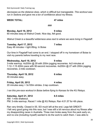*decreases as the distance does, which is difficult but manageable. This workout was run in Sedona and gave me a ton of confidence about my fitness.*

### **WEEK TOTAL: 47 miles**

###

### **Monday, April 16, 2012 9 miles**

60 minutes easy at Walnut Creek. Nice day, felt good.

*Walnut Creek is a beautiful wilderness area next to where we were living in Flagstaff.*

### **Tuesday, April 17, 2012 7 miles**

Easy 48 minutes + light lifting. In Boise

Our time in Flagstaff had come to an end. I stopped off in my hometown of Boise to visit my parents before traveling to my next race.

### **Wednesday, April 18, 2012 9 miles**

3-mile warmup. 4x200m @ 29 with 200m jogging recoveries. 4x3 minutes at 1:12–1:15 400m pace with 90-second recoveries.  $4x200m$  @ 27 with 200m jogging recoveries. 2-mile cooldown

**Thursday, April 19, 2012 6 miles** 40 minutes easy.

**Friday, April 20, 2012 4 miles** 20 minutes easy + 3x100m strides. 2-lap cooldown.

*I* ran this pre-race workout in Boise before flying to Kansas for the KU Relays.

### **Saturday, April 21, 2012 8.5 miles**

AM: 1-mile shakeout. PM: 3-mile warmup. Raced 1 mile @ KU Relays. Ran 4:01.57 for 4th place.

Ran very timidly. Closed in 55. SO much left at the end. Legs felt GREAT! I felt very good going into this race, but I was still a bit nervous about my fitness after my disappointing races in Australia. Three men broke away from the pack early on, and no one (including myself) wanted to do the work to catch them. I was able to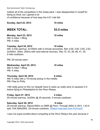outkick all of the competitors in the chase pack. I was disappointed in myself for being so timid, but I gained a lot of confidence because of how easy the 4:01 mile felt.

**Sunday, April 22, 2012 10 miles**

### **WEEK TOTAL: 53.5 miles**

**Monday, April 23, 2012 10 miles** AM: 6 miles + lifting. PM: 4 miles.

### **Tuesday, April 24, 2012 10 miles**

AM: 3-mile warmup. 4x1000m with 2-minute recoveries. Ran 3:09, 3:00, 2:55, 2:53. 2x(500m, 300m, 200m) with next-interval recovery. Ran 72, 43, 28, 66, 41, 25. 2-mile cooldown.

PM: 20-minute swim.

**Wednesday, April 25, 2012 10 miles** AM: 6 miles + lifting. PM: 4 miles.

**Thursday, April 26, 2012 6 miles** AM: 6 miles with a 15-minute pickup in the middle. PM: Flew to Philly.

*I felt really good on this run despite have to wake up really early to squeeze it in before flying to Philadelphia for the Penn Relays.*

**Friday, April 27, 2012 4 miles** 20-minute warmup. 2x200m @ 25 seconds. 5-minute cooldown.

**Saturday, April 28, 2012 8 miles** 20minute warmup. Raced 800m on DMR @ Penn. Through 400m in 49.5, 1:43.9 split. Felt AMAZING. 25-minute cooldown. (Watch Interview from [FloTrack\)](http://www.flotrack.org/video/632160-nick-symmonds-after-143-800-dmr-leg-penn-relays-2012)

*I* was not super-excited about competing at the Penn Relays this year because it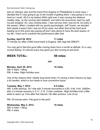*was an Olympic year and the travel from Eugene to Philadelphia is never easy. I decided that if I was going to go to the trouble of getting there, I was going to run as hard as I could. 49.5 is my fastest 400m split ever (I was running the distance medley relay, so the running start helped!), and when the announcer read my split, my jaw dropped. As I was cooling down, I was nervous that I was too fit, too early in the season. When I chatted with my sports psychologist, Jeff Troesh, we decided that maybe it wasn't that I was too fit too early, but rather that all the hard work leading up to this point was paying off and I was about to have the best season of my life. I tried not to overthink the performance after that.*

### **Sunday, April 29, 2012 11 miles**

77-minute run after LONG travel back to Eugene. Still, legs felt GREAT!

*You only get to feel this good after coming down from a month at altitude. It's a very surreal feeling. It's almost scary how good you feel running at sea level.*

**WEEK TOTAL: 59 miles**

###

**Monday, April 30, 2012 10 miles** AM: 6 miles + lifting. PM: 4 miles. Right Achilles sore.

*One of the reasons that I dislike long travel when I'm racing is that it leaves my legs a bit swollen, which in turn leads to sore connective tissue.*

### **Tuesday, May 1, 2012 9.5 miles**

AM: 3-mile warmup. 3x1 mile with 3-minute recoveries in 4:55, 4:46, 4:44. 2x800m with a 2-minute recovery in 2:17, 2:15. 2-mile cooldown. Right Achilles took a little while to warm up. Fine after first interval. OK after workout. Lots of ice.

PM: 30-minute swim. Felt good in the pool!

**Wednesday, May 2, 2012 10 miles** AM: 6 miles + lifting. PM: 4 miles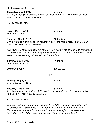### **Thursday, May 3, 2012 7 miles**

AM: 3x(4x200m) with 30 seconds rest between intervals, 4-minute rest between sets. 200s in 27, 2-mile cooldown.

PM: 30-minute swim.

### **Friday, May 4, 2012 7 miles**

50 minutes easy.

### **Saturday, May 5, 2012 10.5 miles**

3-mile warmup. 5-mile pace run with mile 4 easy and mile 5 hard. Ran 5:26, 5:26, 5:15, 5:37, 5:03. 2-mile cooldown.

*Five miles is a fairly long pace run for me at this point in the season, and sometimes Coach Rowland has me break it up mentally by easing off on the fourth mile, which allows me to collect myself to push hard on the fifth.*

**Sunday, May 6, 2012 10 miles** 68 minutes moderate.

### **WEEK TOTAL: 64 miles**

###

### **Monday, May 7, 2012 6 miles** 42 minutes easy + lifting.

**Tuesday, May 8, 2012 8 miles** AM: 3-mile warmup. 1000m in 2:30, rest 6 minutes. 800m in 1:51, rest 8 minutes. 600m in 1:22. DONE. 3-mile cooldown.

PM: 25-minute swim.

*This is a really good workout for me. Just three FAST intervals with a lot of rest. Coach Rowland asked me to run the 800m in 1:54, but my teammate Chris Thompson was running that interval with me and was right on my heels. I was terrified that a 10,000m runner was going to show me up in an 800m!*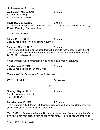### **Wednesday, May 9, 2012 6 miles**

AM: 6 miles + lifting. PM: 30-minute spin bike.

### **Thursday, May 10, 2012 9 miles**

AM: 3-mile warmup. 3-mile pace run at Amazon trail (5:20, 5:15, 5:03). 4x200m @ 27 with 200m jog. 2-mile cooldown.

PM: 30-minute swim.

### **Friday, May 11, 2012 6 miles**

Easy 42 minutes followed by fishing + surfing.

### **Saturday, May 12, 2012 9 miles**

3-mile warmup. 5x800m on Amazon trail with 2-minute recoveries. Ran 2:19, 2:15, 2:15, 2:15, 2:15. 3x500m on South Eugene HS track with 5-minute recoveries. Ran 70, 69, 67. 2-mile cooldown.

*A nice workout. Good combination of base work and speed endurance.*

### **Sunday, May 13, 2012 9 miles**

Easy 65 minutes with P-Nut and J-Mac.

*Nice run with Ian Cronin and Jordan McNamara.*

### **WEEK TOTAL: 53 miles**

**Monday, May 14, 2012 7 miles** AM: 40 minutes easy + lifting. PM: Flew to LA.

**Tuesday, May 15, 2012 7.5 miles** 3-mile warmup. 10x200m with 200m jogging recoveries. Fast-slow alternating...fast  $@$  25, slow  $@$  29. 2-mile cooldown. Felt good.

###

*Ran at UCLA. I had a race down at Occidental College later this week and flew down a few days early for a few meetings and to visit family. This was the first time I had*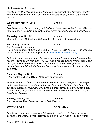*ever been on UCLA's campus, and I was very impressed by the facilities. I had the honor of being timed by the 800m American Record holder, Johnny Gray, in this workout.*

### **Wednesday, May 16, 2012 0 miles**

OFF

*I could feel a bit of a cold coming on this day and was nervous that it could affect my race on Friday. I decided it would be better for me to take the day off and just rest.*

### **Thursday, May 17, 2012 4 miles**

22 minutes easy. 100m stride, 200m stride, 100m stride. 3-lap cooldown.

### **Friday, May 18, 2012 8 miles**

AM: 8-minute jog  $+$  stretch. PM: 3-mile warmup. 1500m race in 3:36.04. NEW PERSONAL BEST!! Finished 2nd to Nate Brannen. 20-minute jog cooldown. (Watch Race on [FloTrack\)](http://www.flotrack.org/video/635522-m-1500-h02-brannen-closes-hard-over-symmonds-2012-usatf-oxy-hp)

*I felt really good warming up for this race. I knew that this was probably going to be my only 1500m of the year, and I REALLY wanted to set a new personal best. I went out right behind the rabbit in 56 seconds for the first 400m. Though I was disappointed that I didn't win the race, I was very happy to shave 2 seconds off my best time.*

**Saturday, May 19, 2012 0 miles** 6 AM flight to Salt Lake City for Melaleuca appearance.

*I was so amped up from my race and had to be into LAX so early that I just stayed up through the night. I got about an hour of sleep on the flight and then had to help out at a Melaleuca convention. Melaleuca is a great company that has been a great partner during my professional career, so I wanted to be there despite the tough travel after the race.*

### **Sunday, May 20, 2012 10 miles** Ran the Valley River Center loop easy. Felt SO good!

### **WEEK TOTAL: 36.5 miles**

*I made two notes in my running log following this week. The first was an arrow pointing to the weekly mileage total reading "with a PB though!!" This shows that I*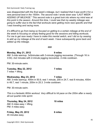*was disappointed with the final week's mileage, but I realized that it was worth it for a new personal best in the 1500m. The second note I wrote down was "LAST WEEK ADDING UP MILEAGE." This second note is a great look into where my mind was at this point in the season. Around this time, I could see that my weekly mileage was going to suffer due to the fact that workouts were getting more race specific and that I was traveling and racing more.*

*It's difficult to go from being so focused on getting to a certain mileage at the end of the week to focusing on simply feeling good for the sessions and killing workouts. For me to get race ready I have to make this mental switch, and I did so by ceasing to add up my mileage at the end of each week. I have subsequently gone back and added up the mileage.*

###

**Monday, May 21, 2012 9 miles** AM: 3-mile warmup. 3x5minutes with 3-minute jogging recoveries. (Through 1K in 3:04). 2x2 minutes with 2-minute jogging recoveries. 2-mile cooldown.

PM: 30-minute swim.

### **Tuesday, May 22, 2012 7 miles**

7 miles + lifting.

### **Wednesday, May 23, 2012 7 miles**

AM: 3-mile warmup. 400m in 50.9, rest 1 minute, 200 in 24.7, rest 8 minutes, 400m in 49.7, rest 1 minute, 200m in 25.3. 3-mile cooldown.

PM: 30-minute swim.

*This is a fantastic 800m workout. Very difficult to hit pace on the 200m after a nearly* all-out quarter-mile sprint.

### **Thursday, May 24, 2012 10 miles**

AM: 6 miles easy + lifting. PM: 4 miles easy.

### **Friday, May 25, 2012 6 miles**

45 minutes easy.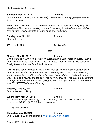### **Saturday, May 26, 2012 10 miles**

3-mile warmup. 3-mile pace run (on feel). 10x200m with 100m jogging recoveries. 2-mile cooldown

*When Coach tells me to run a pace run "on feel," I ditch my watch and just go for a steady run. This pace is usually just a touch below my threshold pace, and at this time of year I would estimate my pace to be near 5:20/mile.*

**Sunday, May 27, 2012 9 miles** 65 minutes easy.

### **WEEK TOTAL: 58 miles**

### **Monday, May 28, 2012 7 miles**

3-mile warmup. 150m in 16.5, rest 4 minutes. 200m in 22.6, rest 5 minutes. 150m in 16.5, rest 6 minutes. 300m in 36.1, rest 7 minutes. 150m in 16.5. 3-mile cooldown. Straight over to the pool for a 25-minute swim.

###

*This is a true sprint workout for me. Lots of rest, but running really fast intervals. I crossed the line after the 200m and saw 22.6 on my watch, and I didn't believing what I was seeing. I had to confirm with Coach Rowland that he had me that fast as well. This was a holiday and the pool was closing early, so I was forced to go straight to the pool for my swim rather than giving my body a couple hours to recover first. I was EXHAUSTED the rest of the day.*

### **Tuesday, May 29, 2012 7 miles** 50 minutes easy + lifting.

**Wednesday, May 30, 2012 8 miles** AM: 3-mile warmup. 5x600m @ (1:39, 1:40, 1:40, 1:39, 1:41) with 90-second recoveries. 2x200m @ 27, 25. 2-mile cooldown.

PM: 25-minute swim.

### **Thursday, May 31, 2012 0 miles**

OFF. Caught a 20-pound springer! (Watch KVAL News Spot)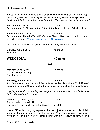*A local news channel had asked if they could film me fishing for a segment they were doing about what local Olympians did when they weren't training. I was hesitant to take the day off two days before the Prefontaine Classic, but it paid off!*

### **Friday June 1, 2012 4 miles** 3-mile warmup. 3xStrides. 100m, 150m, 100m. 2-lap cooldown. Felt kind of flat.

**Saturday June 2, 2012 7 miles** 3-mile warmup. Raced 800m at Prefontaine Classic. Ran 1:44.32 for third place. 2.5-mile cooldown. (Watch Race on [RunnerSpace.com\)](http://preclassic.runnerspace.com/eprofile.php?event_id=120&do=videos&video_id=69686)

*Not a bad run. Certainly a big improvement from my last 800m race!*

**Sunday, June 3, 2012 12 miles** 84 minutes.

### **WEEK TOTAL: 45 miles**

###

### **Monday, June 4, 2012 10 miles**

AM: 45 minutes + lifting. PM: 4 miles easy.

**Tuesday, June 5, 2012 10 miles**

AM: 3-mile warmup. 4x1mile with 2-minute recoveries. Ran 5:00, 4:59, 4:49, 4:43. Jogged 2 laps, ran 2 laps of jog the bends, stride the straights. 2-mile cooldown.

*Jogging the bends and striding the straights is a nice way to flush out the lactic acid built upduring the mile repeats.*

**Wednesday, June 6, 2012 5 miles** AM: up early to film with The Insider. PM: Drinks with Paris Hilton at the Beverly Hills Hotel.

Ha-ha, OK, so I'm not going to pretend like this is just a standard entry. But I did write it in the running log, so it must be included. Whereas doing an interview with a news show isn't that new to me, getting drinks with a well-known celebrity is. This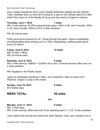Copyright 2013 | Nick Symmonds

Nick Symmonds' Daily Training Log

was a unique experience and a much needed distraction leading into the Olympic Trials. Definitely took my mind off of racing for a spot on the Olympic team for a little while! Shot down to LA for literally 24 hours and then back to Eugene to refocus.

### **Thursday, June 7, 2012 7 miles**

AM: 3-mile warmup. 6x100m going through gears. 400m in 50, rest 6 minutes. 300m in 36, rest 6 minutes. 200m in 23.6. 3-mile cooldown.

PM: 25-minute swim.

*Pretty good sprint workout for me. "Going through the gears" means accelerating and decelerating while striding out on a 100m straightaway, shifting speed about every 20 meters.*

### **Friday, June 8, 2012 10 miles**

AM: 6 miles + lifting.  $PM: 25$ -minute swim.

### **Saturday, June 9, 2012 8 miles**

AM: 3-mile warmup. 5x800m + 2x200m all on trail. 2-minute recovery after each run. 2-mile cooldown

PM: Kayaked in the Pacific Ocean.

*I grew up whitewater kayaking in Idaho, and sometimes I take my boat out to Florence, Oregon, to play in the waves.*

**Sunday, June 10, 2012 6 miles** 45 minutes easy.

**WEEK TOTAL: 56 miles**

###

**Monday, June 11, 2012 9 miles** AM: 2 miles easy. PM: 3-mile warmup. 600m time trial. From standing start in 1:13.9. 3-mile cooldown.

*I did a 600m time trial like this before the 2008 Olympic Trials, and I wanted to do it*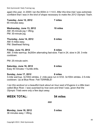Copyright 2013 | Nick Symmonds

Nick Symmonds' Daily Training Log

*again this year. In 2008 I ran the 600m in 1:14.5. After this time trial I was extremely confident that I was in the kind of shape necessary to make the 2012 Olympic Team.*

| <b>Tuesday, June 12, 2012</b><br>65 minutes easy.                              | 7 miles  |
|--------------------------------------------------------------------------------|----------|
| Wednesday, June 13, 2012<br>AM: 45-minute jog + lifting.<br>PM: 30-minute jog. | 10 miles |
| Thursday, June 14, 2012<br>AM: 6 miles easy.<br>PM: Steelhead fishing.         | 6 miles  |
| <b>Friday, June 15, 2012</b>                                                   | 8 miles  |

AM: 3-mile warmup. 8x200m alternating fast-slow. Fast in 24, slow in 28. 3-mile cooldown.

PM: 25-minute swim.

### **Saturday, June 16, 2012 6 miles**

Easy 40 minutes + hurdle drills.

### **Sunday, June 17, 2012 8 miles**

3-mile warmup. 3x100m strides. 2 -mile pace run in 9:53. 3x100m strides. 2.5-mile cooldown. Up at Blue River. Felt TERRIBLE!

*I ran this workout on a beautiful track about an hour east of Eugene in a little town called Blue River. I was surprised by how sore and tired I was, given that the Olympic Trials were only a few days away.*

### **WEEK TOTAL: 54 miles**

**Monday, June 18, 2012 5 miles** 36 minutes easy + lifting.

###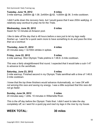### **Tuesday, June 19, 2012 8 miles** 3-mile warmup. 2x600m @ 1:38. 2x400m @ 62. 1x300m @ 36. 3-mile cooldown.

*I didn't write down the recovery here, but I would guess that it was 200m walk/jog. A relatively easy workout to prep me for the Trials.*

### **Wednesday, June 20, 2012 0 miles** Swam for 12 minutes at Amazon pool.

*I like to take off the day that is 48 hours before a race just to let my legs really freshen up. I went for a quick swim more to have something to do and pass the time than as a workout.*

**Thursday, June 21, 2012 4 miles** 20 minutes easy + 3x100m strides in spikes.

**Friday, June 22, 2012 5 miles** 2-mile warmup. Won Olympic Trials prelims in 1:46.8. 2-mile cooldown.

*This was a fairly straightforward first round. I expected that it would take a sub-1:47 to advance to the semifinals.*

### **Saturday, June 23, 2012 5 miles**

2mile warmup. Finished second in my Olympic Trials semifinal with a time of 1:46.8. 2-mile cooldown.

*I knew that the top three finishers would advance Automatically, so I was OK with not winning this race and saving my energy. I was a little surprised that this race did not go faster.*

### **Sunday, June 24, 2012 3 miles**

24 minutes easy + drills. 10 minutes in Willamette River.

*This is the off day before the Olympic Trials final. I didn't want to take the day completely off, so I went for a quick jog and iced my legs in the river by my house.*

### **WEEK TOTAL: 30 miles**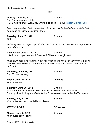###

### **Monday, June 25, 2012 4 miles**

AM: 7 minutes easy + drills. PM: 2-mile warmup. Won 2012 Olympic Trials in 1:43.92!! (Watch via [YouTube\)](https://www.youtube.com/watch?v=0H0Isj2jU0I)

*I was very surprised that I was able to dip under 1:44 in the final and ecstatic that I had made my second Olympic Team.*

**Tuesday, June 26, 2012 0 miles** OFF

*Definitely need a couple days off after the Olympic Trials. Mentally and physically, I needed the rest.*

**Wednesday, June 27, 2012 0 miles** Hiked for a couple hours with Sean and Chiara with weight vest.

*I was aching for a little exercise, but not ready to run yet. Sean Jefferson is a good friend of mine who used to run with me on OTC Elite, and Chiara is his beautiful girlfriend.*

**Thursday, June 28, 2012 7 miles** Ran 50 minutes easy.

**Friday, June 29, 2012 10 miles** 70 minutes easy.

**Saturday, June 30, 2012 9 miles** 3-mile warmup. 6x3minutes with 2-minute recoveries. 2-mile cooldown. Running close to 1K-pace efforts for the 3 minutes on. Just under 5:00/mile pace.

**Sunday, July 1, 2012 6 miles** 45 minutes easy with the Jefferson Twins.

### **WEEK TOTAL: 36 miles**

**Monday, July 2, 2012 6 miles** 45 minutes easy + lifting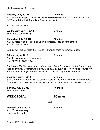### **Tuesday, July 3, 2012 10 miles**

AM: 3-mile warmup. 4x1 mile with 2-minute recoveries. Ran 4:57, 4:56, 4:55, 4:49. 6x200m in 26 with 200m walking/jogging recoveries.

 $PM: 30$ -minute swim.

### **Wednesday, July 4, 2012 7 miles**

50 minutes easy + lifting.

### **Thursday, July 5, 2012 10 miles**

AM: 10 miles with a 4-mile pick up in the middle. 8x15-second strides.  $PM: 30$ -minute swim.

*The pickup was for miles 4, 5, 6, and 7 and was close to 6:00/mile pace.*

### **Friday, July 6, 2012 6 miles**

AM: 45 minutes easy. Legs dead. PM: Kayak @ south jetty.

*Back to the Pacific Ocean in the afternoon to play in the waves. Probably not a good idea on this day, considering that my legs were so tired, but I knew I was leaving for Europe in a few days and that this would be my last opportunity to do so.*

### **Saturday, July 7, 2012 7 miles**

3-mile warmup. 8x400m with 90-second rests for the first 4 intervals, 2-minute rests for the second 4 intervals. Ran 59, 59, 59, 58, 58, 57.1, 58.5, 55.1. 2mile cooldown.

### **Sunday, July 8, 2012 10 miles** 70 minutes. Tired.

### **WEEK TOTAL: 56 miles**

###

### **Monday, July 9, 2012 4 miles**

AM: 30 minutes easy. PM: Flew to London.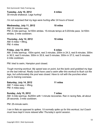Copyright 2013 | Nick Symmonds

Nick Symmonds' Daily Training Log

30-minute shakeout. Legs hurting!

### **Tuesday, July 10, 2012 4 miles**

*I'm not surprised that my legs were hurting after 24 hours of travel.*

### **Wednesday, July 11, 2012 10 miles**

AM: 22 minutes easy. PM: 2-mile warmup. 3x100m strides. 15-minute tempo at 5:20/mile pace. 3x100m strides. 2-mile cooldown.

### **Thursday, July 12, 2012 10 miles**

AM: 6 miles + lifting. PM: 4 miles

### **Friday, July 13, 2012 6 miles**

AM: 3-mile warmup. 150m sprint, rest 3 minutes. 200m in 24.3, rest 8 minutes. 300m in 36.5, rest 5 minutes. 300m in 35.9, rest 5 minutes. 300m in 37.0, rest 5 minutes. 2-mile cooldown

PM: tried to swim, Hampton pool closed.

*Tough morning workout. My speed was on point, but the lactic acid grabbed my legs on the last interval. Really could have used a swim after this workout to flush out the legs, but unfortunately the pool was closed. Have to roll with the punches when you're training overseas.*

### **Saturday, July 14, 2012 11 miles**

AM: 7 miles easy + lifting. PM: 4 miles easy.

### **Sunday, July 15, 2012 7 miles**

AM: 3-mile warmup. 8x200m with 1-minute recoveries. Ran in racing flats, all about 28 seconds. 3-mile cooldown.

PM: 25-minute swim.

*I ran in flats as opposed to spikes. I'd normally spike up for this workout, but Coach must have kept it more relaxed after Thursday's sprint session.*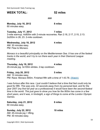### **WEEK TOTAL: 52 miles**

###

**Monday, July 16, 2012 8 miles** 60 minutes easy.

### **Tuesday, July 17, 2012 7 miles**

3-mile warmup. 4x800m with 2-minute recoveries. Ran 2:18, 2:17, 2:15, 2:13. 2x200m in 26, 23. 2-mile cooldown.

**Wednesday, July 18, 2012 4 miles** AM: 30 minutes easy. PM: Flew to Monaco.

*Monaco is a beautiful principality on the Mediterranean Sea. It has one of the fastest tracks in the world, and I try to run there each year in their Diamond League meeting.*

### **Thursday, July 19, 2012 4 miles**

20-minute jog. 3x100m strides. 2-lap cooldown.

### **Friday, July 20, 2012 5 miles** AM: 10 minutes easy.

PM: Race: Monaco 800m. Finished fifth with a time of 1:43.78. [\(Watch\)](https://www.youtube.com/watch?v=LT4vFMXQLvY)

*I was furious after this race. I just couldn't believe that a time that fast could only be good for fifth. This was only .02 seconds away from my personal best, and for the year 2007 (my first full year as a professional) it would have been the second-fastest time in the world. This just goes to show you how far the 800m has come in a few short years, and it was, in hindsight, a sign of things to come at the London Olympic Games.*

**Saturday, July 21, 2012 8 miles** 60 minutes easy.

**Sunday, July 22, 2012 10 miles**

AM:  $45$ -minute jog + lifting. PM: 30 minutes easy.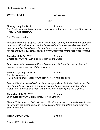### **WEEK TOTAL: 46 miles**

###

### **Monday, July 23, 2012 9 miles**

AM: 3-mile warmup. 4x5minutes at Lensbury with 3-minute recoveries. First interval HARD. 2-mile cooldown.

PM: 20-minute swim.

*Lensbury is a beautiful grass field in Teddington, London, that has a perimeter loop of about 1200m. Coach told me that he wanted me to really get after it on the first interval and that I could cruise the last three. However, I got a bit carried away and ran the first one really hard. I had some very heavy legs for the rest of the workout.*

**Tuesday, July 24, 2012 6 miles** 6 miles easy with 4x100m in spikes. Traveled to Dublin.

*I had been invited to race a 400m in Ireland, and didn't want to miss a chance to improve my personal best at that distance!*

**Wednesday, July 25, 2012 8 miles** AM: 12 minutes easy. PM: 3-mile warmup. Raced 400m. Ran 47.45. 4-mile cooldown.

*I was a little disappointed with this time, as my workouts indicated that I should be able to run 46.xx. This was a huge improvement on my personal best at 400m, though, and it served as a great sharpening workout going into the Olympics.*

**Thursday, July 26, 2012 8 miles** 60 minutes easy with Ciarán. Tired. Flew to London.

*Ciarán O'Lionaird is an Irish miler and a friend of mine. We'd enjoyed a couple pints of Guinness the night before and were sweating them out before returning to our base in London.*

**Friday, July 27, 2012 6 miles**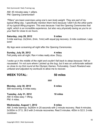AM: 45 minutes easy + pillars. PM: Opening Ceremonies!!

*"Pillars" are basic exercises using one's own body weight. They are part of my typical lifting day. I specifically mention them here because I didn't do the other parts of my typical lifting program. This was because I had the Opening Ceremonies that night, which is an incredible experience, but also very physically taxing as you're on your feet for close to six hours.*

**Saturday, July 28, 2012 9 miles** 3-mile warmup. 2x(3min, 2min, 1min) with equal jog recovery. 2-mile cooldown. Legs sore!

*My legs were screaming all night after the Opening Ceremonies.*

**Sunday, July 29, 2012 4 miles** Felt pretty sick all night. Ran 4 miles really slow. Dizzy.

*I woke up in the middle of the night and couldn't fall back to sleep because I felt so nauseated. I'm not sure where I picked up the bug, but it was an unfortunate setback so close to my first round at the Olympic Games. Fortunately, Coach Rowland was unfazed and adjusted my workouts to* allow me to recover.

###

### **WEEK TOTAL: 50 miles**

**Monday, July 30, 2012 6 miles**

Still recovering. 6 miles easy.

**Tuesday, July 31, 2012 10 miles** AM: 6 miles easy + lifting. PM: 4 miles.

**Wednesday, August 1, 2012 8 miles**

AM: 3-mile warmup. 5x200m in 25 seconds with 2 minute recovery. Rest 4-minutes.  $2x300$ m in 37.5, 38.0 with 2-minute recoveries. Rest 5 minutes, 400m in 52.5, 2-mile cooldown.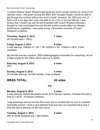*I couldn't believe Coach Rowland had given me such a tough workout so close to my Olympic races. I felt great running the 200s, and I thought maybe I would be able to get through the workout without too much trouble. However, the 300s put a ton of lactic acid in my legs and I was only able to run a 52 on the last interval. I was furious that I couldn't go sub50 and frustrated with Coach Rowland because I thought he had overworked me and that the workout would affect my Olympic performance negatively. I was quite wrong. Yet another example of Coach Rowland's brilliance.*

### **Thursday, August 2, 2012 7 miles**

49 minutes easy + lifting.

### **Friday, August 3, 2012 8 miles**

3-mile warmup. 2x600m in 1:38, 1:38. 2x400m in 63. 1x300m in 36.5. 2-mile cooldown.

*My favorite pre-race workout.* 200m walking/jogging *recoveries for everything. All run in flats except for the 300m, which was run in spikes.*

**Saturday, August 4, 2012 0 miles** OFF.

**Sunday, August 5, 2012 4 miles** 20 minutes warmup. 3x100m strides. 2-lap cooldown.

### **WEEK TOTAL: 43 miles**

**Monday, August 6, 2012 5 miles**

2-mile warmup. Raced the prelims at the 2012 Olympic Games. Finished first with a time of  $1:45.91$ . 10-minute cooldown.

###

*I was extremely nervous for this first round, but so excited that my turn to compete had finally arrived. I drew a very talented heat and was not surprised that it took a time this fast to advance to the next round.*

### **Tuesday, August 7, 2012 6 miles**

AM: 8-minute shakeout jog + light stretch.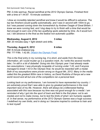PM: 2-mile warmup. Raced semifinal at the 2012 Olympic Games. Finished third with a time of  $1.44.87$ . 15-minute cooldown.

*I drew an incredibly talented semifinal and knew it would be difficult to advance. The top two finishers would qualify automatically, and I was in second with 100m to go, but I was passed coming down the homestretch by Andrew Osagie of Great Britain. I knew we were running fast, and I dug deep to try to finish with a time that would be fast enough to earn one of the two qualifying spots selected by time. As it would turn out, I did advance to the final as the fastest non-automatic qualifier.* 

### **Wednesday, August 8, 2012 3 miles**

AM: 20 minutes easy + light stretch and drills.

### **Thursday, August 9, 2012 6 miles** AM: 8-minute shakeout jog.

PM: ??? Fifth. 1:42.95. (Watch the [Olympic Final\)](https://www.youtube.com/watch?v=YKEOjWEzVGs)

*This is the final entry in my running log. It is short, and aside from the basic information, all I could muster up is a question mark. As I write this several months later, I'm still in a bit of disbelief. Going into this Olympic year I had already made two assumptions: I was physically incapable of running under 1:43, and if anyone managed to break 1:43 in the Olympic final, he would be rewarded with a medal. Both of my assumptions were proven wrong on August 9th, 2012. Many in the media called this the greatest 800m race in history, as David Rudisha of Kenya set a new world record and all but one of the competitors ran a personal best.*

*Looking back on my performance, I am honored to have represented my country. I am extremely proud that I was able to give my greatest performance in the most important race of my life. However, there will always be a bittersweet feeling associated with this race because my time was not good enough for a medal. I am reminded of why I got into the sport of track and field in the first place: not to win medals and not to make money, but to test the limits of what I am humanly capable of. In that sense, my performance at the 2012 Olympic Games was a huge success. I redefined my own limits, and in doing so I became inspired to continue to train and to test myself.*